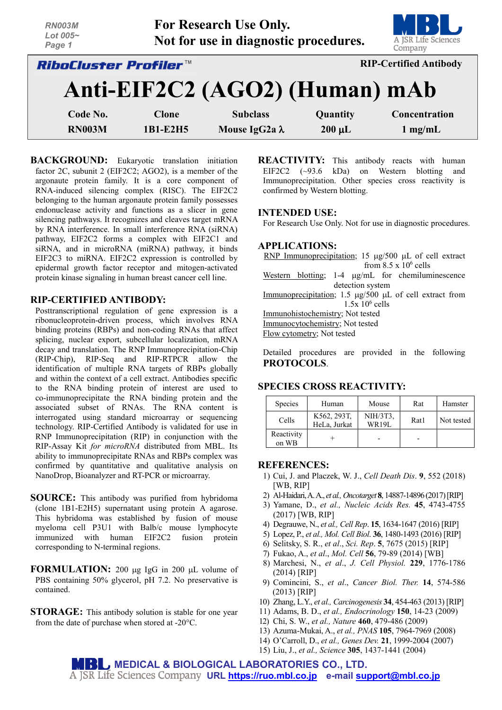| <b>RN003M</b><br>Lot $005-$<br>Page 1 |              | For Research Use Only.<br>Not for use in diagnostic procedures. |                               | A JSR Life Sciences<br>Company |  |  |
|---------------------------------------|--------------|-----------------------------------------------------------------|-------------------------------|--------------------------------|--|--|
| <i><b>RiboCluster Profiler™</b></i>   |              |                                                                 | <b>RIP-Certified Antibody</b> |                                |  |  |
|                                       |              | Anti-EIF2C2 (AGO2) (Human) mAb                                  |                               |                                |  |  |
| Code No.                              | <b>Clone</b> | <b>Subclass</b>                                                 | Quantity                      | Concentration                  |  |  |
| <b>RN003M</b>                         | 1B1-E2H5     | Mouse IgG2a λ                                                   | $200 \mu L$                   | $1 \text{ mg/mL}$              |  |  |

**BACKGROUND:** Eukaryotic translation initiation factor 2C, subunit 2 (EIF2C2; AGO2), is a member of the argonaute protein family. It is a core component of RNA-induced silencing complex (RISC). The EIF2C2 belonging to the human argonaute protein family possesses endonuclease activity and functions as a slicer in gene silencing pathways. It recognizes and cleaves target mRNA by RNA interference. In small interference RNA (siRNA) pathway, EIF2C2 forms a complex with EIF2C1 and siRNA, and in microRNA (miRNA) pathway, it binds EIF2C3 to miRNA. EIF2C2 expression is controlled by epidermal growth factor receptor and mitogen-activated protein kinase signaling in human breast cancer cell line.

### **RIP-CERTIFIED ANTIBODY:**

Posttranscriptional regulation of gene expression is a ribonucleoprotein-driven process, which involves RNA binding proteins (RBPs) and non-coding RNAs that affect splicing, nuclear export, subcellular localization, mRNA decay and translation. The RNP Immunoprecipitation-Chip (RIP-Chip), RIP-Seq and RIP-RTPCR allow the identification of multiple RNA targets of RBPs globally and within the context of a cell extract. Antibodies specific to the RNA binding protein of interest are used to co-immunoprecipitate the RNA binding protein and the associated subset of RNAs. The RNA content is interrogated using standard microarray or sequencing technology. RIP-Certified Antibody is validated for use in RNP Immunoprecipitation (RIP) in conjunction with the RIP-Assay Kit *for microRNA* distributed from MBL. Its ability to immunoprecipitate RNAs and RBPs complex was confirmed by quantitative and qualitative analysis on NanoDrop, Bioanalyzer and RT-PCR or microarray.

- **SOURCE:** This antibody was purified from hybridoma (clone 1B1-E2H5) supernatant using protein A agarose. This hybridoma was established by fusion of mouse myeloma cell P3U1 with Balb/c mouse lymphocyte immunized with human EIF2C2 fusion protein corresponding to N-terminal regions.
- **FORMULATION:** 200 µg IgG in 200 µL volume of PBS containing 50% glycerol, pH 7.2. No preservative is contained.
- **STORAGE:** This antibody solution is stable for one year from the date of purchase when stored at -20°C.

**REACTIVITY:** This antibody reacts with human EIF2C2 (~93.6 kDa) on Western blotting and Immunoprecipitation. Other species cross reactivity is confirmed by Western blotting.

#### **INTENDED USE:**

For Research Use Only. Not for use in diagnostic procedures.

#### **APPLICATIONS:**

RNP Immunoprecipitation; 15 µg/500 µL of cell extract from  $8.5 \times 10^6$  cells Western blotting; 1-4  $\mu$ g/mL for chemiluminescence detection system Immunoprecipitation; 1.5  $\mu$ g/500  $\mu$ L of cell extract from  $1.5x$   $10<sup>6</sup>$  cells Immunohistochemistry; Not tested Immunocytochemistry; Not tested Flow cytometry; Not tested

Detailed procedures are provided in the following **PROTOCOLS**.

## **SPECIES CROSS REACTIVITY:**

| <b>Species</b>      | Human                       | Mouse             | Rat  | Hamster    |
|---------------------|-----------------------------|-------------------|------|------------|
| Cells               | K562, 293T,<br>HeLa, Jurkat | NIH/3T3,<br>WR19L | Rat1 | Not tested |
| Reactivity<br>on WB |                             |                   |      |            |

## **REFERENCES:**

- 1) Cui, J. and Placzek, W. J., *Cell Death Dis*. **9**, 552 (2018) [WB, RIP]
- 2) Al-Haidari,A. A., *et al.,Oncotarget* **8**, 14887-14896 (2017)[RIP]
- 3) Yamane, D., *et al., Nucleic Acids Res.* **45**, 4743-4755 (2017) [WB, RIP]
- 4) Degrauwe, N., *et al., Cell Rep*. **15**, 1634-1647 (2016) [RIP]
- 5) Lopez, P., *et al., Mol. Cell Biol*. **36**, 1480-1493 (2016) [RIP]
- 6) Selitsky, S. R., *et al*., *Sci. Rep*. **5**, 7675 (2015) [RIP]
- 7) Fukao, A., *et al*., *Mol. Cell* **56**, 79-89 (2014) [WB]
- 8) Marchesi, N., *et al*., *J. Cell Physiol.* **229**, 1776-1786 (2014) [RIP]
- 9) Comincini, S., *et al*., *Cancer Biol. Ther.* **14**, 574-586 (2013) [RIP]
- 10) Zhang, L.Y., *et al., Carcinogenesis* **34**, 454-463 (2013) [RIP]
- 11) Adams, B. D., *et al., Endocrinology* **150**, 14-23 (2009)
- 12) Chi, S. W., *et al., Nature* **460**, 479-486 (2009)
- 13) Azuma-Mukai, A., *et al., PNAS* **105**, 7964-7969 (2008)
- 14) O'Carroll, D., *et al., Genes Dev.* **21**, 1999-2004 (2007)
- 15) Liu, J., *et al., Science* **305**, 1437-1441 (2004)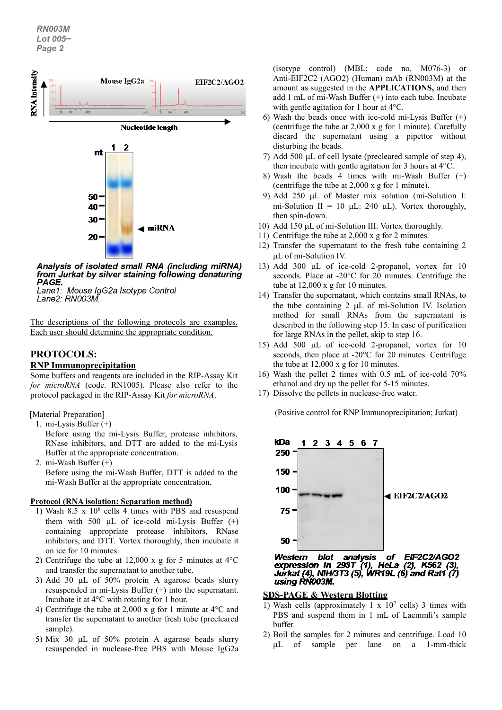

Analysis of isolated small RNA (including miRNA) from Jurkat by silver staining following denaturing PAGE.

Lane1: Mouse IgG2a Isotype Control Lane2: RN003M.

The descriptions of the following protocols are examples. Each user should determine the appropriate condition.

# **PROTOCOLS:**

## **RNP Immunoprecipitation**

Some buffers and reagents are included in the RIP-Assay Kit *for microRNA* (code. RN1005). Please also refer to the protocol packaged in the RIP-Assay Kit *for microRNA*.

- [Material Preparation]
	- 1. mi-Lysis Buffer (+)

Before using the mi-Lysis Buffer, protease inhibitors, RNase inhibitors, and DTT are added to the mi-Lysis Buffer at the appropriate concentration.

2. mi-Wash Buffer (+) Before using the mi-Wash Buffer, DTT is added to the mi-Wash Buffer at the appropriate concentration.

#### **Protocol (RNA isolation: Separation method)**

- 1) Wash 8.5 x  $10^6$  cells 4 times with PBS and resuspend them with 500  $\mu$ L of ice-cold mi-Lysis Buffer (+) containing appropriate protease inhibitors, RNase inhibitors, and DTT. Vortex thoroughly, then incubate it on ice for 10 minutes.
- 2) Centrifuge the tube at 12,000 x g for 5 minutes at  $4^{\circ}$ C and transfer the supernatant to another tube.
- 3) Add 30 µL of 50% protein A agarose beads slurry resuspended in mi-Lysis Buffer (+) into the supernatant. Incubate it at 4°C with rotating for 1 hour.
- 4) Centrifuge the tube at 2,000 x g for 1 minute at 4°C and transfer the supernatant to another fresh tube (precleared sample).
- 5) Mix 30 µL of 50% protein A agarose beads slurry resuspended in nuclease-free PBS with Mouse IgG2a

(isotype control) (MBL; code no. M076-3) or Anti-EIF2C2 (AGO2) (Human) mAb (RN003M) at the amount as suggested in the **APPLICATIONS,** and then add 1 mL of mi-Wash Buffer (+) into each tube. Incubate with gentle agitation for 1 hour at 4°C.

- 6) Wash the beads once with ice-cold mi-Lysis Buffer  $(+)$ (centrifuge the tube at 2,000 x g for 1 minute). Carefully discard the supernatant using a pipettor without disturbing the beads.
- 7) Add 500 µL of cell lysate (precleared sample of step 4), then incubate with gentle agitation for 3 hours at 4°C.
- 8) Wash the beads 4 times with mi-Wash Buffer (+) (centrifuge the tube at 2,000 x g for 1 minute).
- 9) Add 250 µL of Master mix solution (mi-Solution I: mi-Solution II = 10  $\mu$ L: 240  $\mu$ L). Vortex thoroughly, then spin-down.
- 10) Add 150 µL of mi-Solution III. Vortex thoroughly.
- 11) Centrifuge the tube at 2,000 x g for 2 minutes.
- 12) Transfer the supernatant to the fresh tube containing 2 µL of mi-Solution IV.
- 13) Add 300 µL of ice-cold 2-propanol, vortex for 10 seconds. Place at -20°C for 20 minutes. Centrifuge the tube at 12,000 x g for 10 minutes.
- 14) Transfer the supernatant, which contains small RNAs, to the tube containing 2 µL of mi-Solution IV. Isolation method for small RNAs from the supernatant is described in the following step 15. In case of purification for large RNAs in the pellet, skip to step 16.
- 15) Add 500 µL of ice-cold 2-propanol, vortex for 10 seconds, then place at -20°C for 20 minutes. Centrifuge the tube at 12,000 x g for 10 minutes.
- 16) Wash the pellet 2 times with 0.5 mL of ice-cold 70% ethanol and dry up the pellet for 5-15 minutes.
- 17) Dissolve the pellets in nuclease-free water.

(Positive control for RNP Immunoprecipitation; Jurkat)



expression in 293T (1), HeLa (2), K562 (3), Jurkat (4), NIH/3T3 (5), WR19L (6) and Rat1 (7) using RN003M.

## **SDS-PAGE & Western Blotting**

- 1) Wash cells (approximately 1 x  $10<sup>7</sup>$  cells) 3 times with PBS and suspend them in 1 mL of Laemmli's sample buffer.
- 2) Boil the samples for 2 minutes and centrifuge. Load 10 µL of sample per lane on a 1-mm-thick